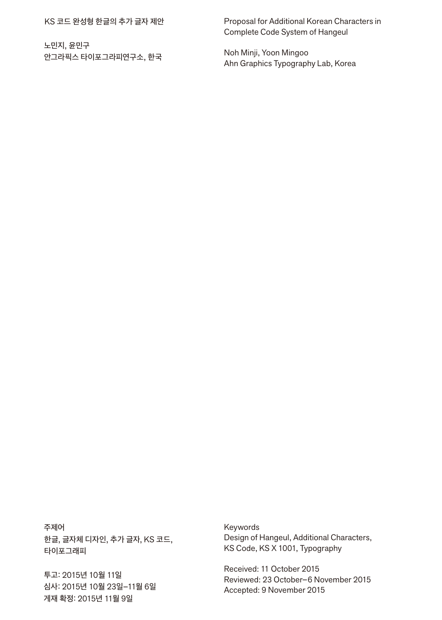KS 코드 완성형 한글의 추가 글자 제안

노민지, 윤민구 안그라픽스 타이포그라피연구소, 한국 Proposal for Additional Korean Characters in Complete Code System of Hangeul

Noh Minji, Yoon Mingoo Ahn Graphics Typography Lab, Korea

주제어 한글, 글자체 디자인, 추가 글자, KS 코드, 타이포그래피

투고: 2015년 10월 11일 심사: 2015년 10월 23일–11월 6일 게재 확정: 2015년 11월 9일

Keywords Design of Hangeul, Additional Characters, KS Code, KS X 1001, Typography

Received: 11 October 2015 Reviewed: 23 October–6 November 2015 Accepted: 9 November 2015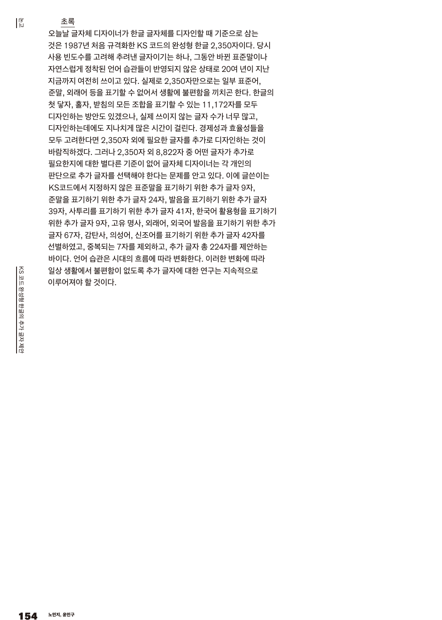#### 초록

間

오늘날 글자체 디자이너가 한글 글자체를 디자인할 때 기준으로 삼는 것은 1987년 처음 규격화한 KS 코드의 완성형 한글 2,350자이다. 당시 사용 빈도수를 고려해 추려낸 글자이기는 하나, 그동안 바뀐 표준말이나 자연스럽게 정착된 언어 습관들이 반영되지 않은 상태로 20여 년이 지난 지금까지 여전히 쓰이고 있다. 실제로 2,350자만으로는 일부 표준어, 준말, 외래어 등을 표기할 수 없어서 생활에 불편함을 끼치곤 한다. 한글의 첫 닿자, 홀자, 받침의 모든 조합을 표기할 수 있는 11,172자를 모두 디자인하는 방안도 있겠으나, 실제 쓰이지 않는 글자 수가 너무 많고, 디자인하는데에도 지나치게 많은 시간이 걸린다. 경제성과 효율성들을 모두 고려한다면 2,350자 외에 필요한 글자를 추가로 디자인하는 것이 바람직하겠다. 그러나 2,350자 외 8,822자 중 어떤 글자가 추가로 필요한지에 대한 별다른 기준이 없어 글자체 디자이너는 각 개인의 판단으로 추가 글자를 선택해야 한다는 문제를 안고 있다. 이에 글쓴이는 KS코드에서 지정하지 않은 표준말을 표기하기 위한 추가 글자 9자, 준말을 표기하기 위한 추가 글자 24자, 발음을 표기하기 위한 추가 글자 39자, 사투리를 표기하기 위한 추가 글자 41자, 한국어 활용형을 표기하기 위한 추가 글자 9자, 고유 명사, 외래어, 외국어 발음을 표기하기 위한 추가 글자 67자, 감탄사, 의성어, 신조어를 표기하기 위한 추가 글자 42자를 선별하였고, 중복되는 7자를 제외하고, 추가 글자 총 224자를 제안하는 바이다. 언어 습관은 시대의 흐름에 따라 변화한다. 이러한 변화에 따라 일상 생활에서 불편함이 없도록 추가 글자에 대한 연구는 지속적으로 이루어져야 할 것이다.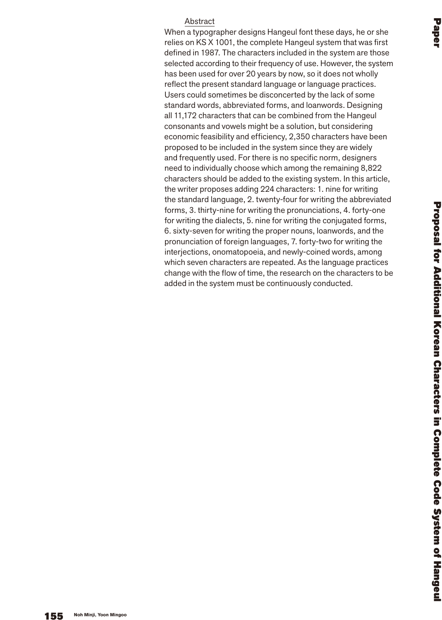#### Abstract

When a typographer designs Hangeul font these days , he or she relies on KS X 1001 , the complete Hangeul system that was first defined in 1987 . The characters included in the system are those selected according to their frequency of use . However , the system has been used for over 20 years by now , so it does not wholly reflect the present standard language or language practices . Users could sometimes be disconcerted by the lack of some standard words , abbreviated forms , and loanwords . Designing all 11 ,172 characters that can be combined from the Hangeul consonants and vowels might be a solution , but considering economic feasibility and efficiency , 2 ,350 characters have been proposed to be included in the system since they are widely and frequently used . For there is no specific norm , designers need to individually choose which among the remaining 8 ,822 characters should be added to the existing system . In this article , the writer proposes adding 224 characters : 1 . nine for writing the standard language , 2 . twenty-four for writing the abbreviated forms , 3 . thirty-nine for writing the pronunciations , 4 . forty-one for writing the dialects , 5 . nine for writing the conjugated forms , 6 . sixty-seven for writing the proper nouns , loanwords , and the pronunciation of foreign languages , 7 . forty-two for writing the interjections , onomatopoeia , and newly-coined words , among which seven characters are repeated . As the language practices change with the flow of time , the research on the characters to be added in the system must be continuously conducted .

**Paper**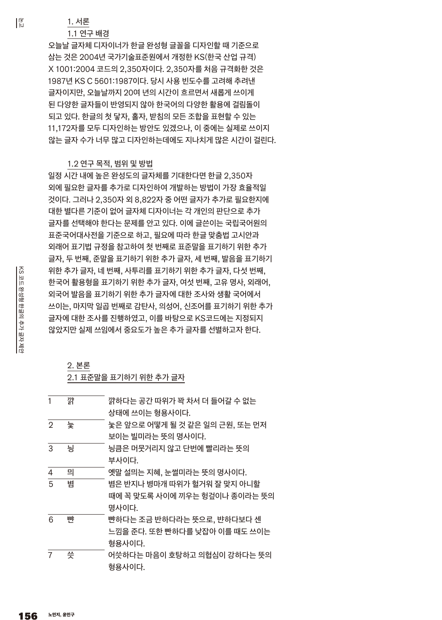## 1. 서론 1.1 연구 배경

오늘날 글자체 디자이너가 한글 완성형 글꼴을 디자인할 때 기준으로 삼는 것은 2004년 국가기술표준원에서 개정한 KS(한국 산업 규격) X 1001:2004 코드의 2,350자이다. 2,350자를 처음 규격화한 것은 1987년 KS C 5601:1987이다. 당시 사용 빈도수를 고려해 추려낸 글자이지만, 오늘날까지 20여 년의 시간이 흐르면서 새롭게 쓰이게 된 다양한 글자들이 반영되지 않아 한국어의 다양한 활용에 걸림돌이 되고 있다. 한글의 첫 닿자, 홀자, 받침의 모든 조합을 표현할 수 있는 11,172자를 모두 디자인하는 방안도 있겠으나, 이 중에는 실제로 쓰이지 않는 글자 수가 너무 많고 디자인하는데에도 지나치게 많은 시간이 걸린다.

#### 1.2 연구 목적, 범위 및 방법

일정 시간 내에 높은 완성도의 글자체를 기대한다면 한글 2,350자 외에 필요한 글자를 추가로 디자인하여 개발하는 방법이 가장 효율적일 것이다. 그러나 2,350자 외 8,822자 중 어떤 글자가 추가로 필요한지에 대한 별다른 기준이 없어 글자체 디자이너는 각 개인의 판단으로 추가 글자를 선택해야 한다는 문제를 안고 있다. 이에 글쓴이는 국립국어원의 표준국어대사전을 기준으로 하고, 필요에 따라 한글 맞춤법 고시안과 외래어 표기법 규정을 참고하여 첫 번째로 표준말을 표기하기 위한 추가 글자, 두 번째, 준말을 표기하기 위한 추가 글자, 세 번째, 발음을 표기하기 위한 추가 글자, 네 번째, 사투리를 표기하기 위한 추가 글자, 다섯 번째, 한국어 활용형을 표기하기 위한 추가 글자, 여섯 번째, 고유 명사, 외래어, 외국어 발음을 표기하기 위한 추가 글자에 대한 조사와 생활 국어에서 쓰이는, 마지막 일곱 번째로 감탄사, 의성어, 신조어를 표기하기 위한 추가 글자에 대한 조사를 진행하였고, 이를 바탕으로 KS코드에는 지정되지 않았지만 실제 쓰임에서 중요도가 높은 추가 글자를 선별하고자 한다.

#### 2. 본론

2.1 표준말을 표기하기 위한 추가 글자

| 1 | 꺍 | 꺍하다는 공간 따위가 꽉 차서 더 들어갈 수 없는    |
|---|---|--------------------------------|
|   |   | 상태에 쓰이는 형용사이다.                 |
| 2 | 늧 | 눛은 앞으로 어떻게 될 것 같은 일의 근원, 또는 먼저 |
|   |   | 보이는 빌미라는 뜻의 명사이다.              |
| 3 | 닁 | 닁큼은 머뭇거리지 않고 단번에 빨리라는 뜻의       |
|   |   | 부사이다.                          |
| 4 | 믜 | 옛말 설믜는 지혜, 눈썰미라는 뜻의 명사이다.      |
| 5 | 볌 | 볌은 반지나 병마개 따위가 헐거워 잘 맞지 아니할    |
|   |   | 때에 꼭 맞도록 사이에 끼우는 헝겊이나 종이라는 뜻의  |
|   |   | 명사이다.                          |
| 6 | 뺚 | 뺜하다는 조금 반하다라는 뜻으로, 뱐하다보다 센     |
|   |   | 느낌을 준다. 또한 빤하다를 낮잡아 이를 때도 쓰이는  |
|   |   | 형용사이다.                         |
| 7 | 씃 | 어씃하다는 마음이 호탕하고 의협심이 강하다는 뜻의    |
|   |   | 형용사이다.                         |

 $\Im$ 래 여성형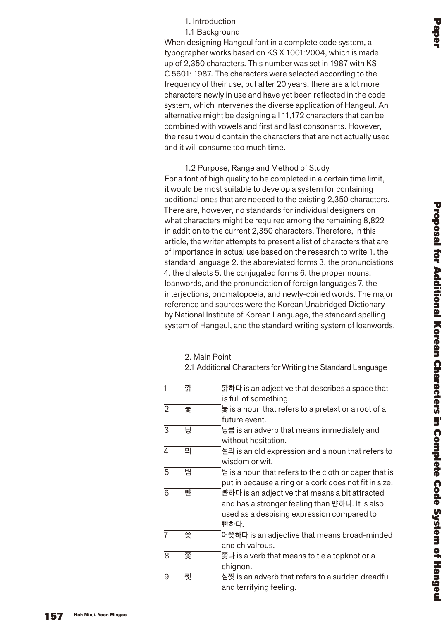# 1 . Introduction

1 .1 Background

When designing Hangeul font in a complete code system , a typographer works based on KS X 1001 :2004 , which is made up of 2 ,350 characters . This number was set in 1987 with KS C 5601 : 1987 . The characters were selected according to the frequency of their use , but after 20 years , there are a lot more characters newly in use and have yet been reflected in the code system , which intervenes the diverse application of Hangeul . An alternative might be designing all 11 ,172 characters that can be combined with vowels and first and last consonants . However , the result would contain the characters that are not actually used and it will consume too much time .

# 1 .2 Purpose , Range and Method of Study

For a font of high quality to be completed in a certain time limit , it would be most suitable to develop a system for containing additional ones that are needed to the existing 2 ,350 characters . There are , however , no standards for individual designers on what characters might be required among the remaining 8 ,822 in addition to the current 2 ,350 characters . Therefore , in this article , the writer attempts to present a list of characters that are of importance in actual use based on the research to write 1 . the standard language 2 . the abbreviated forms 3 . the pronunciations 4. the dialects 5. the conjugated forms 6. the proper nouns, loanwords , and the pronunciation of foreign languages 7 . the interjections , onomatopoeia , and newly-coined words . The major reference and sources were the Korean Unabridged Dictionary by National Institute of Korean Language , the standard spelling system of Hangeul , and the standard writing system of loanwords .

|                | 2. Main Point |                                                             |  |  |
|----------------|---------------|-------------------------------------------------------------|--|--|
|                |               | 2.1 Additional Characters for Writing the Standard Language |  |  |
|                |               |                                                             |  |  |
| $\mathbf{1}$   | 꺍             | 꺍하다 is an adjective that describes a space that             |  |  |
|                |               | is full of something.                                       |  |  |
| $\overline{2}$ | 늧             | 늧 is a noun that refers to a pretext or a root of a         |  |  |
|                |               | future event.                                               |  |  |
| 3              | 닁             | 닁큼 is an adverb that means immediately and                  |  |  |
|                |               | without hesitation.                                         |  |  |
| $\overline{4}$ | 믜             | 설믜 is an old expression and a noun that refers to           |  |  |
|                |               | wisdom or wit.                                              |  |  |
| $\overline{5}$ | 볌             | 볌 is a noun that refers to the cloth or paper that is       |  |  |
|                |               | put in because a ring or a cork does not fit in size.       |  |  |
| 6              | 뺚             | 뺜하다 is an adjective that means a bit attracted              |  |  |
|                |               | and has a stronger feeling than 뱐하다. It is also             |  |  |
|                |               | used as a despising expression compared to                  |  |  |
|                |               | 빤하다.                                                        |  |  |
| 7              | 씃             | 어씃하다 is an adjective that means broad-minded                |  |  |
|                |               | and chivalrous.                                             |  |  |
| 8              | 쫒             | 쫒다 is a verb that means to tie a topknot or a               |  |  |
|                |               | chignon.                                                    |  |  |
| 9              | 찟             | 섬찟 is an adverb that refers to a sudden dreadful            |  |  |
|                |               | and terrifying feeling.                                     |  |  |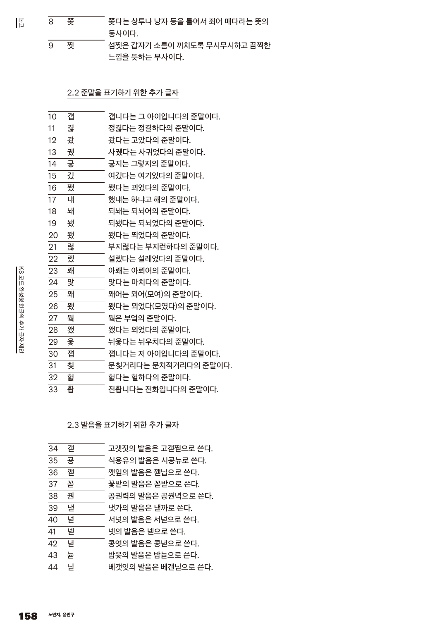쫒 쫒다는 상투나 낭자 등을 틀어서 죄어 매다라는 뜻의 동사이다.

찟 섬찟은 갑자기 소름이 끼치도록 무시무시하고 끔찍한 느낌을 뜻하는 부사이다.

# .2 준말을 표기하기 위한 추가 글자

| 10 | 걥 | 걥니다는 그 아이입니다의 준말이다.  |
|----|---|----------------------|
| 11 | 겷 | 정겷다는 정결하다의 준말이다.     |
| 12 | 괐 | 괐다는 고았다의 준말이다.       |
| 13 | 궸 | 사궸다는 사귀었다의 준말이다.     |
| 14 | 긓 | 긓지는 그렇지의 준말이다.       |
| 15 | 깄 | 여깄다는 여기있다의 준말이다.     |
| 16 | 꽸 | 꽸다는 꾀었다의 준말이다.       |
| 17 | 냬 | 했냬는 하냐고 해의 준말이다.     |
| 18 | 놰 | 되놰는 되뇌어의 준말이다.       |
| 19 | 뇄 | 되뇄다는 되뇌었다의 준말이다.     |
| 20 | 뙜 | 뙜다는 뙤었다의 준말이다.       |
| 21 | 럲 | 부지럲다는 부지런하다의 준말이다.   |
| 22 | 렜 | 설렜다는 설레었다의 준말이다.     |
| 23 | 뢔 | 아뢔는 아뢰어의 준말이다.       |
| 24 | 맟 | 맟다는 마치다의 준말이다.       |
| 25 | 뫠 | 뫠어는 뫼어(모여)의 준말이다.    |
| 26 | 뫴 | 뫴다는 뫼었다(모였다)의 준말이다.  |
| 27 | 붴 | 붴은 부엌의 준말이다.         |
| 28 | 왰 | 왰다는 외었다의 준말이다.       |
| 29 | 웇 | 뉘웇다는 뉘우치다의 준말이다.     |
| 30 | 쟵 | 쟵니다는 저 아이입니다의 준말이다.  |
| 31 | 칮 | 문칮거리다는 문치적거리다의 주말이다. |
| 32 | 헗 | 헗다는 헐하다의 준말이다.       |
| 33 | 홥 | 전홥니다는 전화입니다의 준말이다.   |

# .3 발음을 표기하기 위한 추가 글자

| 34 | 갣 | 고갯짓의 발음은 고갣찓으로 쓴다. |
|----|---|--------------------|
| 35 | 굥 | 식용유의 발음은 시굥뉴로 쓴다.  |
| 36 | 깯 | 깻잎의 발음은 깯닙으로 쓴다.   |
| 37 | 꼳 | 꽃밭의 발음은 꼳받으로 쓴다.   |
| 38 | 꿔 | 공권력의 발음은 공꿘녁으로 쓴다. |
| 39 | 낻 | 냇가의 발음은 낻까로 쓴다.    |
| 40 | 널 | 서넛의 발음은 서넏으로 쓴다.   |
| 41 | 넬 | 넷의 발음은 넫으로 쓴다.     |
| 42 | 녈 | 콩엿의 발음은 콩녇으로 쓴다.   |
| 43 | 뉻 | 밤윳의 발음은 밤뉻으로 쓴다.   |
| 44 | 닏 | 베갯잇의 발음은 베갠닏으로 쓴다. |
|    |   |                    |

間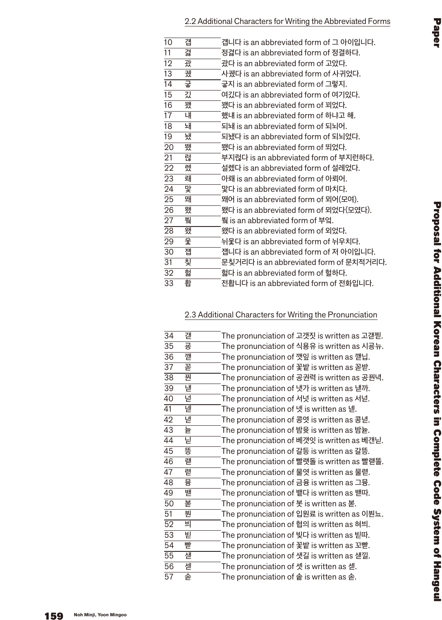| 10              | 걥 | 걥니다 is an abbreviated form of 그 아이입니다.  |
|-----------------|---|-----------------------------------------|
| 11              | 겷 | 정겷다 is an abbreviated form of 정결하다.     |
| 12              | 괐 | 괐다 is an abbreviated form of 고았다.       |
| 13              | 궸 | 사궸다 is an abbreviated form of 사귀었다.     |
| 14              | 긓 | 긓지 is an abbreviated form of 그렇지.       |
| 15              | 깄 | 여깄다 is an abbreviated form of 여기있다.     |
| 16              | 꽸 | 꽸다 is an abbreviated form of 꾀었다.       |
| $\overline{17}$ | 냬 | 했냬 is an abbreviated form of 하냐고 해.     |
| $\overline{18}$ | 놰 | 되놰 is an abbreviated form of 되뇌어.       |
| 19              | 뇄 | 되뇄다 is an abbreviated form of 되뇌었다.     |
| $\overline{20}$ | 뙜 | 뙜다 is an abbreviated form of 뙤었다.       |
| 21              | 럲 | 부지럲다 is an abbreviated form of 부지런하다.   |
| 22              | 렜 | 설렜다 is an abbreviated form of 설레었다.     |
| 23              | 뢔 | 아뢔 is an abbreviated form of 아뢰어.       |
| 24              | 맟 | 맟다 is an abbreviated form of 마치다.       |
| 25              | 뫠 | 뫠어 is an abbreviated form of 뫼어(모여).    |
| 26              | 뫴 | 뫴다 is an abbreviated form of 뫼었다(모였다).  |
| $\overline{27}$ | 붴 | 붴 is an abbreviated form of 부엌.         |
| $\overline{28}$ | 왰 | 왰다 is an abbreviated form of 외었다.       |
| 29              | 웇 | 뉘웇다 is an abbreviated form of 뉘우치다.     |
| 30              | 쟵 | 쟵니다 is an abbreviated form of 저 아이입니다.  |
| 31              | 칮 | 문칮거리다 is an abbreviated form of 문치적거리다. |
| 32              | 헗 | 헗다 is an abbreviated form of 헐하다.       |
| 33              | 홥 | 전홥니다 is an abbreviated form of 전화입니다.   |

## 2 .3 Additional Characters for Writing the Pronunciation

| $\overline{34}$ | 갣 | The pronunciation of 고갯짓 is written as 고갣찓. |
|-----------------|---|---------------------------------------------|
| $\overline{35}$ | 굥 | The pronunciation of 식용유 is written as 시굥뉴. |
| $\overline{36}$ | 깯 | The pronunciation of 깻잎 is written as 깯닙.   |
| $\overline{37}$ | 꾤 | The pronunciation of 꽃밭 is written as 꼳받.   |
| 38              | 꿘 | The pronunciation of 공권력 is written as 공꿘녁. |
| 39              | 낻 | The pronunciation of 냇가 is written as 낻까.   |
| 40              | 넘 | The pronunciation of 서넛 is written as 서넏.   |
| 41              | 델 | The pronunciation of 넷 is written as 넫.     |
| 42              | 념 | The pronunciation of 콩엿 is written as 콩녇.   |
| $\overline{43}$ | 뉻 | The pronunciation of 밤윳 is written as 밤뉻.   |
| $\overline{44}$ | 낟 | The pronunciation of 베갯잇 is written as 베갠닏. |
| $\overline{45}$ | 뜽 | The pronunciation of 갈등 is written as 갈뜽.   |
| $\overline{46}$ | 랟 | The pronunciation of 빨랫돌 is written as 빨랟똘. |
| $\overline{47}$ | 렬 | The pronunciation of 물엿 is written as 물렫.   |
| 48              | 뮹 | The pronunciation of 금융 is written as 그뮹.   |
| 49              | 밷 | The pronunciation of 뱉다 is written as 밷따.   |
| 50              | 볼 | The pronunciation of 봇 is written as 볻.     |
| $\overline{51}$ | 붠 | The pronunciation of 입원료 is written as 이붠뇨. |
| 52              | 븨 | The pronunciation of 협의 is written as 혀븨.   |
| $\overline{53}$ | 빋 | The pronunciation of 빚다 is written as 빋따.   |
| 54              | 빧 | The pronunciation of 꽃밭 is written as 꼬빧.   |
| 55              | 샏 | The pronunciation of 샛길 is written as 샏낄.   |
| $\overline{56}$ | 섿 | The pronunciation of 셋 is written as 섿.     |
| 57              | 솓 | The pronunciation of 솥 is written as 솓.     |
|                 |   |                                             |

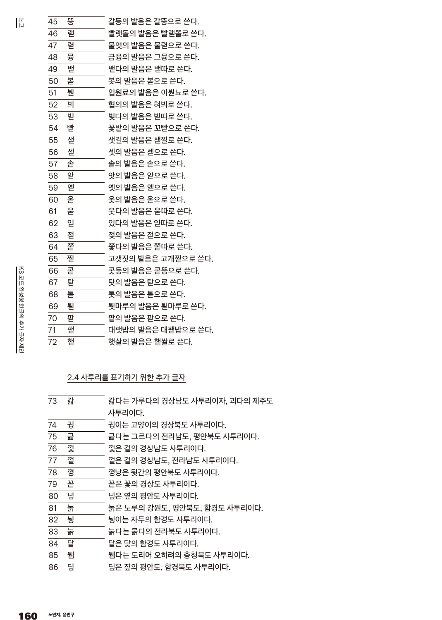| 45 | 뜽 | 갈등의 발음은 갈뜽으로 쓴다.   |
|----|---|--------------------|
| 46 | 랟 | 빨랫돌의 발음은 빨랟똘로 쓴다.  |
| 47 | 렫 | 물엿의 발음은 물렫으로 쓴다.   |
| 48 | 뮹 | 금융의 발음은 그뮹으로 쓴다.   |
| 49 | 밷 | 뱉다의 발음은 밷따로 쓴다.    |
| 50 | 볻 | 봇의 발음은 볻으로 쓴다.     |
| 51 | 붜 | 입원료의 발음은 이붠뇨로 쓴다.  |
| 52 | 븨 | 협의의 발음은 혀븨로 쓴다.    |
| 53 | 빋 | 빚다의 발음은 빋따로 쓴다.    |
| 54 | 빧 | 꽃밭의 발음은 꼬빧으로 쓴다.   |
| 55 | 샏 | 샛길의 발음은 샏낄로 쓴다.    |
| 56 | 섿 | 셋의 발음은 섿으로 쓴다.     |
| 57 | 솓 | 솥의 발음은 솓으로 쓴다.     |
| 58 | 앋 | 앗의 발음은 앋으로 쓴다.     |
| 59 | 옏 | 옛의 발음은 옏으로 쓴다.     |
| 60 | 옫 | 옷의 발음은 옫으로 쓴다.     |
| 61 | 욷 | 웃다의 발음은 욷따로 쓴다.    |
| 62 | 읻 | 있다의 발음은 읻따로 쓴다.    |
| 63 | 젇 | 젖의 발음은 젇으로 쓴다.     |
| 64 | 쫃 | 쫓다의 발음은 쫃따로 쓴다.    |
| 65 | 찓 | 고갯짓의 발음은 고개찓으로 쓴다. |
| 66 | 콛 | 콧등의 발음은 콛뜽으로 쓴다.   |
| 67 | 탇 | 탓의 발음은 탇으로 쓴다.     |
| 68 | 톧 | 톳의 발음은 톧으로 쓴다.     |
| 69 | 퇻 | 툇마루의 발음은 퇻마루로 쓴다.  |
| 70 | 팓 | 팥의 발음은 팓으로 쓴다.     |
| 71 | 팯 | 대팻밥의 발음은 대팯밥으로 쓴다. |
| 72 | 핻 | 햇살의 발음은 핻쌀로 쓴다.    |
|    |   |                    |

## .4 사투리를 표기하기 위한 추가 글자

| 73 갋 | 갋다는 가루다의 경상남도 사투리이자, 괴다의 제주도 |
|------|------------------------------|
|      | $\cdot$ $  \cdot$ $  \cdot$  |

- 사투리이다.
- $\overline{74}$  귕  $\overline{3}$  귕이는 고양이의 경상북도 사투리이다.
- $\overline{75}$   $\overline{a}$   $\overline{a}$   $\overline{a}$   $\overline{a}$   $\overline{a}$   $\overline{a}$   $\overline{a}$   $\overline{a}$   $\overline{a}$   $\overline{a}$   $\overline{a}$   $\overline{a}$   $\overline{a}$   $\overline{a}$   $\overline{a}$   $\overline{a}$   $\overline{a}$   $\overline{a}$   $\overline{a}$   $\overline{a}$   $\overline{a}$   $\overline{a}$   $\overline{a}$   $\overline$
- $\frac{1}{76}$   $\frac{1}{29}$   $\frac{1}{29}$  42의 경상남도 사투리이다.
- 껕 껕은 겉의 경상남도, 전라남도 사투리이다.
- 꼉 꼉낭은 뒷간의 평안북도 사투리이다.
- 꽅 꽅은 꽃의 경상도 사투리이다.
- 넢 넢은 옆의 평안도 사투리이다.
- 놁 놁은 노루의 강원도, 평안북도, 함경도 사투리이다.
- 82 뇡 능이는 자두의 함경도 사투리이다.
- 눍 눍다는 묽다의 전라북도 사투리이다.
- 닽 닽은 닻의 함경도 사투리이다.
- 뒙 뒙다는 도리어 오히려의 충청북도 사투리이다.
- 딮 딮은 짚의 평안도, 함경북도 사투리이다.

 $\Im$ 래 여성형 일들 추가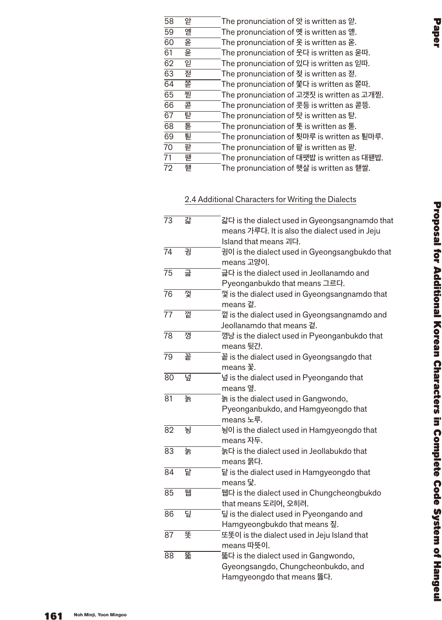| 58              | 앋 | The pronunciation of 앗 is written as 앋.                          |
|-----------------|---|------------------------------------------------------------------|
| 59              | 옏 | The pronunciation of 옛 is written as 옏.                          |
| 60              | 옫 | The pronunciation of $\frac{1}{2}$ is written as $\frac{2}{2}$ . |
| 61              | 욷 | The pronunciation of 웃다 is written as 욷따.                        |
| 62              | 읻 | The pronunciation of 있다 is written as 읻따.                        |
| 63              | 젇 | The pronunciation of 젖 is written as 젇.                          |
| 64              | 쫃 | The pronunciation of 쫓다 is written as 쫃따.                        |
| 65              | 찓 | The pronunciation of 고갯짓 is written as 고개찓.                      |
| 66              | 콛 | The pronunciation of 콧등 is written as 콛뜽.                        |
| 67              | 탇 | The pronunciation of 탓 is written as 탇.                          |
| 68              | 톧 | The pronunciation of 톳 is written as 톧.                          |
| 69              | 퇻 | The pronunciation of 툇마루 is written as 퇻마루.                      |
| $\overline{70}$ | 팓 | The pronunciation of $E$ is written as $E$ .                     |
| 71              | 팯 | The pronunciation of 대팻밥 is written as 대팯밥.                      |
| 72              | 핸 | The pronunciation of 햇살 is written as 핻쌀.                        |

2 .4 Additional Characters for Writing the Dialects

| $\overline{73}$ | 갋 | 갋다 is the dialect used in Gyeongsangnamdo that                          |
|-----------------|---|-------------------------------------------------------------------------|
|                 |   | means 가루다. It is also the dialect used in Jeju                          |
|                 |   | Island that means 괴다.                                                   |
| $\overline{74}$ | 귕 | 귕이 is the dialect used in Gyeongsangbukdo that                          |
|                 |   | means 고양이.                                                              |
| $\overline{75}$ | 긇 | 긇다 is the dialect used in Jeollanamdo and                               |
|                 |   | Pyeonganbukdo that means 그르다.                                           |
| 76              | 껓 | 껓 is the dialect used in Gyeongsangnamdo that                           |
|                 |   | means 겉.                                                                |
| 77              | 껃 | 껕 is the dialect used in Gyeongsangnamdo and                            |
|                 |   | Jeollanamdo that means 겉.                                               |
| 78              | 꼉 | 꼉낭 is the dialect used in Pyeonganbukdo that                            |
|                 |   | means 뒷간.                                                               |
| $\overline{79}$ | 꾵 | 꽅 is the dialect used in Gyeongsangdo that                              |
|                 |   | means 꽃.                                                                |
| 80              | 넢 | 넢 is the dialect used in Pyeongando that                                |
|                 |   | means 옆.                                                                |
| 81              | 놁 | 놁 is the dialect used in Gangwondo,                                     |
|                 |   | Pyeonganbukdo, and Hamgyeongdo that                                     |
|                 |   | means 노루.                                                               |
| 82              | 뇡 | 뇡이 is the dialect used in Hamgyeongdo that                              |
|                 |   | means 자두.                                                               |
| 83              | 눍 | 눍다 is the dialect used in Jeollabukdo that                              |
|                 |   | means 묽다.                                                               |
| 84              | 닽 | 닽 is the dialect used in Hamgyeongdo that                               |
|                 |   | means 닻.                                                                |
| 85              | 뒙 | 뒙다 is the dialect used in Chungcheongbukdo                              |
| 86              | 딮 | that means 도리어, 오히려.                                                    |
|                 |   | 딮 is the dialect used in Pyeongando and<br>Hamgyeongbukdo that means 짚. |
| $\overline{87}$ | 뚖 | 또똣이 is the dialect used in Jeju Island that                             |
|                 |   | means 따뜻이.                                                              |
| 88              | 뚧 | 뚧다 is the dialect used in Gangwondo,                                    |
|                 |   | Gyeongsangdo, Chungcheonbukdo, and                                      |
|                 |   | Hamgyeongdo that means 뚫다.                                              |
|                 |   |                                                                         |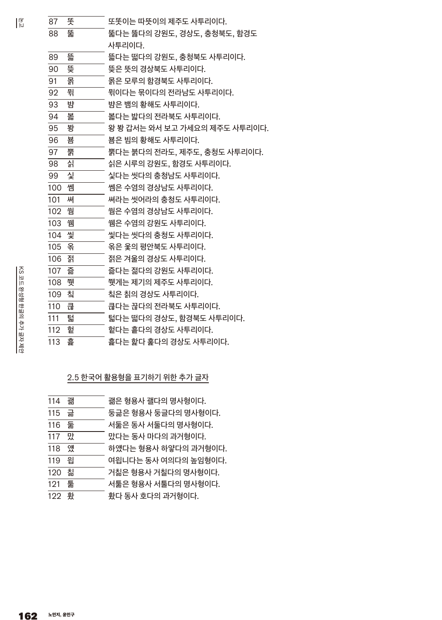| 87  | 똣 | 또똣이는 따뜻이의 제주도 사투리이다.          |
|-----|---|-------------------------------|
| 88  | 뚧 | 뚧다는 뚫다의 강원도, 경상도, 충청북도, 함경도   |
|     |   | 사투리이다.                        |
| 89  | 뜳 | 뜳다는 떫다의 강원도. 충청북도 사투리이다.      |
| 90  | 뜾 | 뜾은 뜻의 경상북도 사투리이다.             |
| 91  | 몱 | 몱은 모루의 함경북도 사투리이다.            |
| 92  | 뮊 | 뮊이다는 묶이다의 전라남도 사투리이다.         |
| 93  | 뱜 | 뱜은 뱀의 황해도 사투리이다.              |
| 94  | 볿 | 볿다는 밟다의 전라북도 사투리이다.           |
| 95  | 봥 | 왕 봥 갑서는 와서 보고 가세요의 제주도 사투리이다. |
| 96  | 뵴 | 뵴은 빔의 황해도 사투리이다.              |
| 97  | 뿕 | 뿕다는 붉다의 전라도, 제주도, 충청도 사투리이다.  |
| 98  | 싥 | 싥은 시루의 강원도, 함경도 사투리이다.        |
| 99  | 싳 | 싳다는 씻다의 충청남도 사투리이다.           |
| 100 | 쎔 | 쎔은 수염의 경상남도 사투리이다.            |
| 101 | 쎠 | 쎠라는 씻어라의 충청도 사투리이다.           |
| 102 | 쒐 | 쒐은 수염의 경상남도 사투리이다.            |
| 103 | 쒬 | 쒬은 수염의 강원도 사투리이다.             |
| 104 | 씿 | 씿다는 씻다의 충청도 사투리이다.            |
| 105 | 옦 | 옦은 옻의 평안북도 사투리이다.             |
| 106 | 젉 | 젉은 겨울의 경상도 사투리이다.             |
| 107 | 즒 | 즒다는 젊다의 강원도 사투리이다.            |
| 108 | 쮃 | 쮓게는 제기의 제주도 사투리이다.            |
| 109 | 칰 | 칰은 칡의 경상도 사투리이다.              |
| 110 | 큲 | 큲다는 끊다의 전라북도 사투리이다.           |
| 111 | 턻 | 턻다는 떫다의 경상도. 함경북도 사투리이다.      |
| 112 | 헡 | 헏다는 흗다의 경상도 사투리이다.            |
| 113 | 흝 | 흝다는 핥다 훑다의 경상도 사투리이다.         |

# .5 한국어 활용형을 표기하기 위한 추가 글자

| 114 | 괢 | 괢은 형용사 괠다의 명사형이다.    |
|-----|---|----------------------|
| 115 | 긂 | 둥긂은 형용사 둥글다의 명사형이다.  |
| 116 | 둚 | 서둚은 동사 서둘다의 명사형이다.   |
| 117 | 맜 | 맜다는 동사 마다의 과거형이다.    |
| 118 | 얬 | 하얬다는 형용사 하얗다의 과거형이다. |
| 119 | 읩 | 여읩니다는 동사 여의다의 높임형이다. |
| 120 | 칢 | 거칢은 형용사 거칠다의 명사형이다.  |
| 121 | 툶 | 서툶은 형용사 서툴다의 명사형이다.  |
| 122 | 홖 | 홨다 동사 호다의 과거형이다.     |

| [k                            |        | J      |
|-------------------------------|--------|--------|
|                               |        |        |
|                               |        |        |
|                               |        |        |
|                               |        |        |
|                               |        |        |
|                               |        |        |
|                               |        |        |
|                               |        |        |
|                               |        |        |
|                               |        |        |
|                               |        |        |
|                               |        |        |
|                               |        |        |
| ļ                             |        | J<br>֕ |
| I<br>$\overline{\phantom{a}}$ | ſ      |        |
|                               | n<br>T | l      |
|                               | NIJ    |        |
| I                             |        | ׇ֚֘֝֬  |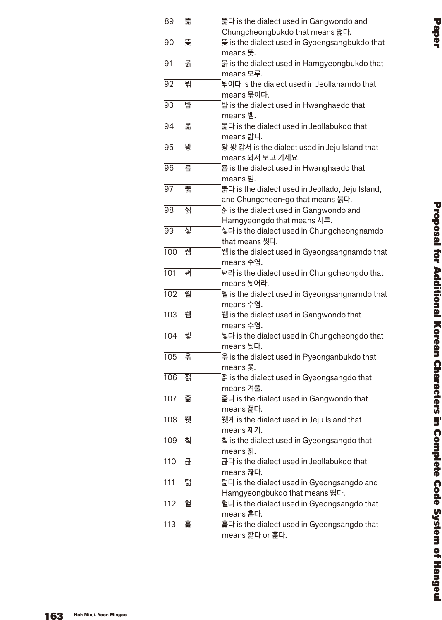| 89               | 뜳 | 뜳다 is the dialect used in Gangwondo and<br>Chungcheongbukdo that means 떫다.           |
|------------------|---|--------------------------------------------------------------------------------------|
| 90               | 뜿 | 뜾 is the dialect used in Gyoengsangbukdo that<br>means 뜻.                            |
| 91               | 몱 | 몱 is the dialect used in Hamgyeongbukdo that<br>means 모루.                            |
| 92               | 뮊 | 뮊이다 is the dialect used in Jeollanamdo that<br>means 묶이다.                            |
| 93               | 뱜 | 뱜 is the dialect used in Hwanghaedo that<br>means 뱀.                                 |
| 94               | 볿 | 볿다 is the dialect used in Jeollabukdo that<br>means 밟다.                              |
| 95               | 봥 | 왕 봥 갑서 is the dialect used in Jeju Island that<br>means 와서 보고 가세요.                   |
| 96               | 뵴 | 뵴 is the dialect used in Hwanghaedo that<br>means 빔.                                 |
| 97               | 뿕 | 뿕다 is the dialect used in Jeollado, Jeju Island,<br>and Chungcheon-go that means 붉다. |
| 98               | 싥 | 싥 is the dialect used in Gangwondo and<br>Hamgyeongdo that means 시루.                 |
| 99               | 짗 | 싳다 is the dialect used in Chungcheongnamdo<br>that means 씻다.                         |
| 100              | 쎔 | 쎔 is the dialect used in Gyeongsangnamdo that<br>means 수염.                           |
| $\overline{101}$ | 쎠 | 쎠라 is the dialect used in Chungcheongdo that<br>means 씻어라.                           |
| 102              | 쒐 | 쒐 is the dialect used in Gyeongsangnamdo that<br>means 수염.                           |
| 103              | 쒬 | 쒬 is the dialect used in Gangwondo that<br>means 수염.                                 |
| 104              | 씿 | 씿다 is the dialect used in Chungcheongdo that<br>means 씻다.                            |
| 105              | 옦 | 옦 is the dialect used in Pyeonganbukdo that<br>means 옻.                              |
| 106              | 젉 | 젉 is the dialect used in Gyeongsangdo that<br>means 겨울.                              |
| $\overline{107}$ | 즒 | 즒다 is the dialect used in Gangwondo that<br>means 젊다.                                |
| $\overline{108}$ | 쮓 | 쮓게 is the dialect used in Jeju Island that<br>means 제기.                              |
| 109              | 칰 | 칰 is the dialect used in Gyeongsangdo that<br>means 칡.                               |
| 110              | 큲 | 큲다 is the dialect used in Jeollabukdo that<br>means 끊다.                              |
| 111              | 턻 | 턻다 is the dialect used in Gyeongsangdo and<br>Hamgyeongbukdo that means 떫다.          |
| 112              | 헡 | 헡다 is the dialect used in Gyeongsangdo that<br>means 흩다.                             |
| $\overline{113}$ | 흝 | 흝다 is the dialect used in Gyeongsangdo that<br>means 핥다 or 훑다.                       |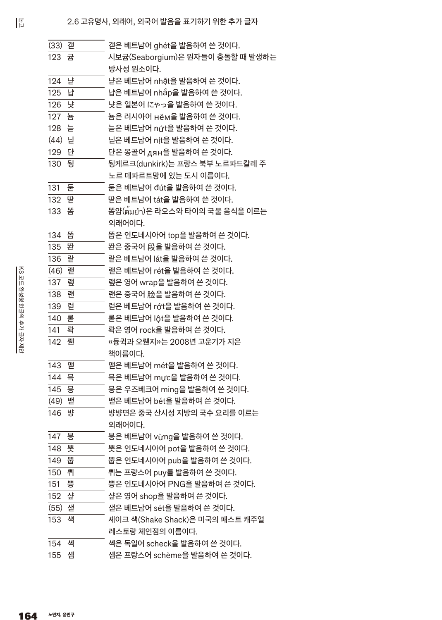| (33) 갣          |   | 갣은 베트남어 ghét을 발음하여 쓴 것이다.        |
|-----------------|---|----------------------------------|
| 123             | 귬 | 시보귬(Seaborgium)은 원자들이 충돌할 때 발생하는 |
|                 |   | 방사성 원소이다.                        |
| 124             | 냗 | 냗은 베트남어 nhặt을 발음하여 쓴 것이다.        |
| 125             | 냡 | 냡은 베트남어 nhap을 발음하여 쓴 것이다.        |
| 126             | 냣 | 냣은 일본어 にゃっ을 발음하여 쓴 것이다.          |
| 127             | 뇸 | 뇸은 러시아어 нём을 발음하여 쓴 것이다.         |
| 128             | 늗 | 늗은 베트남어 nứt을 발음하여 쓴 것이다.         |
| (44)            | 닏 | 닏은 베트남어 nit을 발음하여 쓴 것이다.         |
| 129             | 댠 | 댠은 몽골어 дян을 발음하여 쓴 것이다.          |
| 130             | 됭 | 됭케르크(dunkirk)는 프랑스 북부 노르파드칼레 주   |
|                 |   | 노르 데파르트망에 있는 도시 이름이다.            |
| 131             | 둗 | 둗은 베트남어 đút을 발음하여 쓴 것이다.         |
| 132             | 딷 | 딷은 베트남어 tát을 발음하여 쓴 것이다.         |
| 133             | 똠 | 똠얌(ตุ๊มยำ)은 라오스와 타이의 국물 음식을 이르는  |
|                 |   | 외래어이다.                           |
| 134             | 똡 | 똡은 인도네시아어 top을 발음하여 쓴 것이다.       |
| 135             | 똰 | 똰은 중국어 段을 발음하여 쓴 것이다.            |
| 136             | 랃 | 랃은 베트남어 lát을 발음하여 쓴 것이다.         |
| (46)            | 랟 | 랟은 베트남어 rét을 발음하여 쓴 것이다.         |
| 137             | 랲 | 랲은 영어 wrap을 발음하여 쓴 것이다.          |
| 138             | 럔 | 럔은 중국어 脸을 발음하여 쓴 것이다.            |
| 139             | 럳 | 럳은 베트남어 rớt을 발음하여 쓴 것이다.         |
| 140             | 롣 | 롣은 베트남어 lột을 발음하여 쓴 것이다.         |
| 141             | 롹 | 롹은 영어 rock을 발음하여 쓴 것이다.          |
| 142             | 뤤 | «듕귁과 오뤤지»는 2008년 고운기가 지은         |
|                 |   | 책이름이다.                           |
| 143             | 맫 | 맫은 베트남어 mét을 발음하여 쓴 것이다.         |
| 144             | 믁 | 믁은 베트남어 muc을 발음하여 쓴 것이다.         |
| 145             | 믕 | 믕은 우즈베크어 ming을 발음하여 쓴 것이다.       |
| (49)            | 밷 | 밷은 베트남어 bét을 발음하여 쓴 것이다.         |
| 146             | 뱡 | 뱡뱡면은 중국 산시성 지방의 국수 요리를 이르는       |
|                 |   | 외래어이다.                           |
| 147             | 븡 | 븡은 베트남어 vừng을 발음하여 쓴 것이다.        |
| $\frac{1}{148}$ | 뿆 | 뽓은 인도네시아어 pot을 발음하여 쓴 것이다.       |
| 149             | 뿝 | 뿝은 인도네시아어 pub을 발음하여 쓴 것이다.       |
| 150             | 쀠 | 쀠는 프랑스어 puy를 발음하여 쓴 것이다.         |
| 151             | 쁭 | 쁭은 인도네시아어 PNG을 발음하여 쓴 것이다.       |
| 152             | 샾 | 샾은 영어 shop을 발음하여 쓴 것이다.          |
| (55)            | 샏 | 샏은 베트남어 sét을 발음하여 쓴 것이다.         |
| 153             | 섁 | 셰이크 섁(Shake Shack)은 미국의 패스트 캐주얼  |
|                 |   | 레스토랑 체인점의 이름이다.                  |
| 154             | 셱 | 셱은 독일어 scheck을 발음하여 쓴 것이다.       |
| 155             | 솀 | 솀은 프랑스어 schème을 발음하여 쓴 것이다.      |

 $\Im$ 래 여성형 일들 추가 글자

노민지**,** 윤민구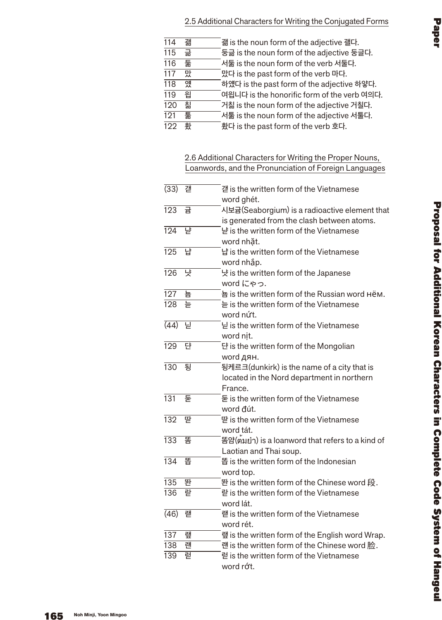## 2 .5 Additional Characters for Writing the Conjugated Forms

- 114 괢 괢 is the noun form of the adjective 괠다 . 115 긂 둥긂 is the noun form of the adjective 둥글다. 116 둚 서둚 is the noun form of the verb 서둘다 . 117 맜 맜다 is the past form of the verb 마다 . 118 얬 하얬다 is the past form of the adjective 하얗다 . 119 읩 여읩니다 is the honorific form of the verb 여의다 . **120** 칢 거칢 is the noun form of the adjective 거칠다 . 121 툶 서툶 is the noun form of the adjective 서툴다 .
- 122 홨 홨다 is the past form of the verb 호다 .

| 2.6 Additional Characters for Writing the Proper Nouns, |
|---------------------------------------------------------|
| Loanwords, and the Pronunciation of Foreign Languages   |

| (33)             | 갣 | 갣 is the written form of the Vietnamese<br>word ghét.                                                |
|------------------|---|------------------------------------------------------------------------------------------------------|
| 123              | 귝 | 시보귬(Seaborgium) is a radioactive element that<br>is generated from the clash between atoms.          |
| 124              | 댤 | 냗 is the written form of the Vietnamese<br>word nhăt.                                                |
| 125              | 냡 | 냡 is the written form of the Vietnamese<br>word nhắp.                                                |
| $\overline{126}$ | 댯 | 냣 is the written form of the Japanese<br>word にゃっ.                                                   |
| $\overline{127}$ | 뇸 | 뇸 is the written form of the Russian word HëM.                                                       |
| $\overline{128}$ | 늗 | $\ge$ is the written form of the Vietnamese<br>word nú't.                                            |
| (44)             | 닏 | 닏 is the written form of the Vietnamese<br>word nit.                                                 |
| 129              | 댠 | 댠 is the written form of the Mongolian<br>word дян.                                                  |
| 130              | 됭 | 됭케르크(dunkirk) is the name of a city that is<br>located in the Nord department in northern<br>France. |
| 131              | 둗 | 둗 is the written form of the Vietnamese<br>word đút.                                                 |
| $\overline{132}$ | 딷 | 딸 is the written form of the Vietnamese<br>word tát.                                                 |
| 133              | 똠 | 皆 (ตุ๊มยำ) is a loanword that refers to a kind of<br>Laotian and Thai soup.                          |
| 134              | 똡 | 똠 is the written form of the Indonesian<br>word top.                                                 |
| 135              | 똰 | 똰 is the written form of the Chinese word 段.                                                         |
| 136              | 쾉 | 랃 is the written form of the Vietnamese<br>word lát.                                                 |
| (46)             | 랟 | 랟 is the written form of the Vietnamese<br>word rét.                                                 |
| $\overline{137}$ | 랲 | 랲 is the written form of the English word Wrap.                                                      |
| 138              | 럔 | 럔 is the written form of the Chinese word 脸.                                                         |
| $\overline{139}$ | 럳 | 럳 is the written form of the Vietnamese<br>word rót.                                                 |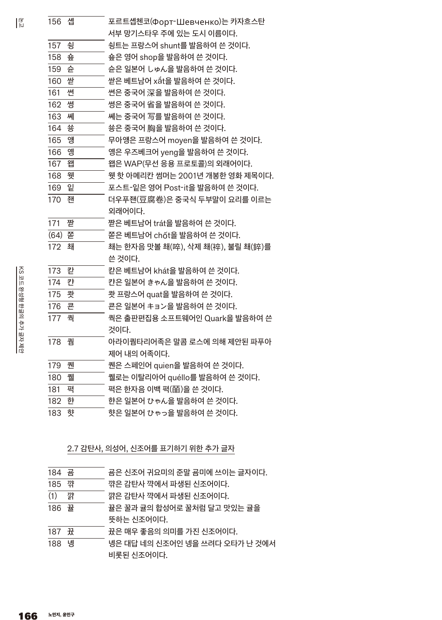| 156  | 솁 | 포르트솁첸코(Форт-Шевченко)는 카자흐스탄      |
|------|---|-----------------------------------|
|      |   | 서부 망기스타우 주에 있는 도시 이름이다.           |
| 157  | 쇵 | 쇵트는 프랑스어 shunt를 발음하여 쓴 것이다.       |
| 158  | 숖 | 숖은 영어 shop을 발음하여 쓴 것이다.           |
| 159  | 슌 | 슌은 일본어 しゅん을 발음하여 쓴 것이다.           |
| 160  | 싿 | 싿은 베트남어 xat을 발음하여 쓴 것이다.          |
| 161  | 쎤 | 쎤은 중국어 深을 발음하여 쓴 것이다.             |
| 162  | 쎵 | 쎵은 중국어 省을 발음하여 쓴 것이다.             |
| 163  | 쎼 | 쎼는 중국어 写를 발음하여 쓴 것이다.             |
| 164  | 쑝 | 쑝은 중국어 胸을 발음하여 쓴 것이다.             |
| 165  | 얭 | 무아얭은 프랑스어 moyen을 발음하여 쓴 것이다.      |
| 166  | 옝 | 옝은 우즈베크어 yeng을 발음하여 쓴 것이다.        |
| 167  | 왭 | 왭은 WAP(무선 응용 프로토콜)의 외래어이다.        |
| 168  | 웻 | 웻 핫 아메리칸 썸머는 2001년 개봉한 영화 제목이다.   |
| 169  | 잍 | 포스트-잍은 영어 Post-it을 발음하여 쓴 것이다.    |
| 170  | 좬 | 더우푸좬(豆腐卷)은 중국식 두부말이 요리를 이르는       |
|      |   | 외래어이다.                            |
| 171  | 짣 | 짣은 베트남어 trát을 발음하여 쓴 것이다.         |
| (64) | 쫃 | 쫃은 베트남어 chốt을 발음하여 쓴 것이다.         |
| 172  | 쵀 | 쵀는 한자음 맛볼 쵀(啐), 삭제 쵀(祽), 불릴 쵀(錊)를 |
|      |   | 쓴 것이다.                            |
| 173  | 칻 | 칻은 베트남어 khát을 발음하여 쓴 것이다.         |
| 174  | 캬 | 캰은 일본어 きゃん을 발음하여 쓴 것이다.           |
| 175  | 쾃 | 쾃 프랑스어 quat을 발음하여 쓴 것이다.          |
| 176  | 쿈 | 쿈은 일본어 キョン을 발음하여 쓴 것이다.           |
| 177  | 쿽 | 쿽은 출판편집용 소프트웨어인 Quark을 발음하여 쓴     |
|      |   | 것이다.                              |
| 178  | 퀌 | 아라이퀌타리어족은 말콤 로스에 의해 제안된 파푸아       |
|      |   | 제어 내의 어족이다.                       |
| 179  | 퀘 | 퀜은 스페인어 quien을 발음하여 쓴 것이다.        |
| 180  | 퀰 | 퀠로는 이탈리아어 quéllo를 발음하여 쓴 것이다.     |
| 181  | 펵 | 펵은 한자음 이백 펵(皕)을 쓴 것이다.            |
| 182  | 햔 | 햔은 일본어 ひゃん을 발음하여 쓴 것이다.           |
| 183  | 햣 | 햣은 일본어 ひゃっ을 발음하여 쓴 것이다.           |

# .7 감탄사, 의성어, 신조어를 표기하기 위한 추가 글자

- 굠 굠은 신조어 귀요미의 준말 굠미에 쓰이는 글자이다.
- 꺆 꺆은 감탄사 꺅에서 파생된 신조어이다.
- $\overline{(1)}$  꺍  $\overline{3}$  꺍은 감탄사 꺅에서 파생된 신조어이다.
- 뀰 뀰은 꿀과 귤의 합성어로 꿀처럼 달고 맛있는 귤을 뜻하는 신조어이다.
- $\overline{187 + \overline{R}}$   $\overline{R}$   $\overline{R}$   $\overline{R}$   $\overline{R}$   $\overline{R}$   $\overline{R}$   $\overline{R}$   $\overline{R}$   $\overline{R}$   $\overline{R}$   $\overline{R}$   $\overline{R}$   $\overline{R}$   $\overline{R}$   $\overline{R}$   $\overline{R}$   $\overline{R}$   $\overline{R}$   $\overline{R}$   $\overline{R}$   $\overline{R}$   $\overline{R}$   $\overline{R$
- 녱 녱은 대답 네의 신조어인 넹을 쓰려다 오타가 난 것에서 비롯된 신조어이다.

 $\Im$ 래 여성형 일들 추가 글자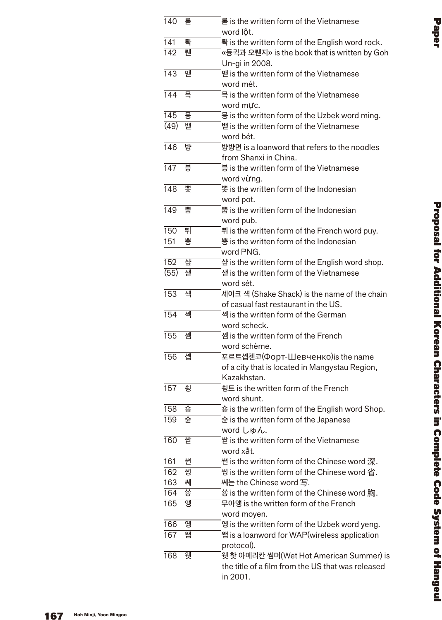| $\overline{140}$  | 롣 | 롣 is the written form of the Vietnamese<br>word lôt.      |
|-------------------|---|-----------------------------------------------------------|
| $\overline{141}$  | 뢐 | 롹 is the written form of the English word rock.           |
| $\overline{142}$  | 뤠 | «듕귁과 오뤤지» is the book that is written by Goh              |
|                   |   |                                                           |
| 143               | 맫 | Un-gi in 2008.<br>맫 is the written form of the Vietnamese |
|                   |   |                                                           |
|                   |   | word mét.                                                 |
| $\overline{144}$  | 믁 | 믁 is the written form of the Vietnamese                   |
|                   |   | word mu'c.                                                |
| $\overline{145}$  | 믕 | 믕 is the written form of the Uzbek word ming.             |
| (49)              | 밷 | 밷 is the written form of the Vietnamese                   |
|                   |   | word bét.                                                 |
| $\overline{146}$  | 뱡 | 뱡뱡면 is a loanword that refers to the noodles              |
|                   |   | from Shanxi in China.                                     |
| $\overline{147}$  | 븡 | 븡 is the written form of the Vietnamese                   |
|                   |   | word vừng.                                                |
| 148               | 뿆 | 뽓 is the written form of the Indonesian                   |
|                   |   | word pot.                                                 |
| $\overline{149}$  | 뿝 | 뿝 is the written form of the Indonesian                   |
|                   |   | word pub.                                                 |
| 150               | 쀠 | 쀠 is the written form of the French word puy.             |
| 151               | 쁭 | 쁭 is the written form of the Indonesian                   |
|                   |   | word PNG.                                                 |
| $\overline{152}$  | 샾 | 샾 is the written form of the English word shop.           |
| $\overline{(55)}$ | 샏 | 샏 is the written form of the Vietnamese                   |
|                   |   | word sét.                                                 |
| 153               | 섁 | 셰이크 섁 (Shake Shack) is the name of the chain              |
|                   |   | of casual fast restaurant in the US.                      |
| 154               | 셱 | 셱 is the written form of the German                       |
|                   |   | word scheck.                                              |
| 155               | 솀 | 솀 is the written form of the French                       |
|                   |   | word schème.                                              |
| 156               | 솁 | 포르트솁첸코(Форт-Шевченко)is the name                          |
|                   |   | of a city that is located in Mangystau Region,            |
|                   |   | Kazakhstan.                                               |
| 157               | 쇵 | 쇵트 is the written form of the French                      |
|                   |   | word shunt.                                               |
| 158               | 숖 | 숖 is the written form of the English word Shop.           |
| 159               | 슌 | 슌 is the written form of the Japanese                     |
|                   |   | word しゅん.                                                 |
| 160               | 싿 | 싿 is the written form of the Vietnamese                   |
|                   |   | word xăt.                                                 |
| 161               | 쎤 | 쎤 is the written form of the Chinese word 深.              |
| $\overline{162}$  | 쎵 | 쎵 is the written form of the Chinese word 省.              |
| 163               | 쎼 | 쎼는 the Chinese word 写.                                    |
| 164               | 쑝 | 咎 is the written form of the Chinese word 胸.              |
| 165               | 얭 | 무아얭 is the written form of the French                     |
|                   |   | word moyen.                                               |
| 166               | 옝 | 옝 is the written form of the Uzbek word yeng.             |
| 167               | 왭 |                                                           |
|                   |   | 왭 is a loanword for WAP(wireless application              |
|                   |   | protocol).                                                |
| 168               | 웻 | 웻 핫 아메리칸 썸머(Wet Hot American Summer) is                   |
|                   |   | the title of a film from the US that was released         |
|                   |   | in 2001.                                                  |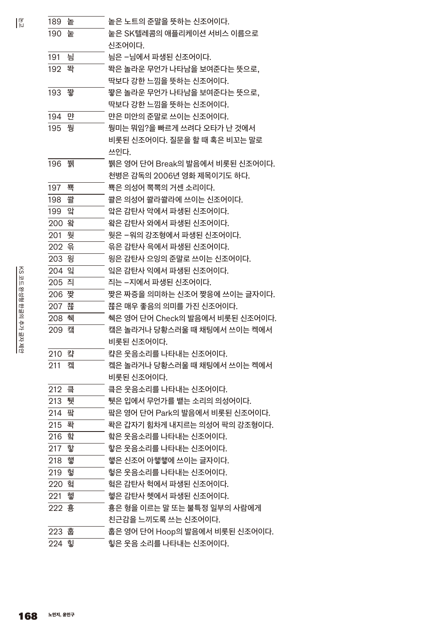| 189   | 놑 | 놑은 노트의 준말을 뜻하는 신조어이다.           |
|-------|---|---------------------------------|
| 190   | 눝 | 눝은 SK텔레콤의 애플리케이션 서비스 이름으로       |
|       |   | 신조어이다.                          |
| 191   | 늼 | 늼은 –님에서 파생된 신조어이다.              |
| 192   | 똭 | 똭은 놀라운 무언가 나타남을 보여준다는 뜻으로,      |
|       |   | 딱보다 강한 느낌을 뜻하는 신조어이다.           |
| 193   | 뙇 | 뙇은 놀라운 무언가 나타남을 보여준다는 뜻으로.      |
|       |   | 딱보다 강한 느낌을 뜻하는 신조어이다.           |
| 194   | 먄 | 먄은 미안의 준말로 쓰이는 신조어이다.           |
| 195   | 뭥 | 뭥미는 뭐임?을 빠르게 쓰려다 오타가 난 것에서      |
|       |   | 비롯된 신조어이다. 질문을 할 때 혹은 비꼬는 말로    |
|       |   | 쓰인다.                            |
| 196   | 뷁 | 뷁은 영어 단어 Break의 발음에서 비롯된 신조어이다. |
|       |   | 천병은 감독의 2006년 영화 제목이기도 하다.      |
| 197   | 뾱 | 뾱은 의성어 뽁뽁의 거센 소리이다.             |
| 198   | 쏼 | 쏼은 의성어 쏼라쏼라에 쓰이는 신조어이다.         |
| 199   | 앜 | 앜은 감탄사 악에서 파생된 신조어이다.           |
| 200 왘 |   | 왘은 감탄사 와에서 파생된 신조어이다.           |
| 201   | 웟 | 웟은 –워의 강조형에서 파생된 신조어이다.         |
| 202   | 윾 | 윾은 감탄사 윽에서 파생된 신조어이다.           |
| 203   | 읭 | 읭은 감탄사 으잉의 준말로 쓰이는 신조어이다.       |
| 204   | 잌 | 잌은 감탄사 익에서 파생된 신조어이다.           |
| 205 즤 |   | 즤는 –지에서 파생된 신조어이다.              |
| 206 짲 |   | 짲은 짜증을 의미하는 신조어 짲응에 쓰이는 글자이다.   |
| 207   | 쬲 | 쬲은 매우 좋음의 의미를 가진 신조어이다.         |
| 208   | 췍 | 췍은 영어 단어 Check의 발음에서 비롯된 신조어이다. |
| 209   | 캨 | 캨은 놀라거나 당황스러울 때 채팅에서 쓰이는 켁에서    |
|       |   | 비롯된 신조어이다.                      |
| 210   | 컄 | 컄은 웃음소리를 나타내는 신조어이다.            |
| 211   | 켘 | 켘은 놀라거나 당황스러울 때 채팅에서 쓰이는 켁에서    |
|       |   | 비롯된 신조어이다.                      |
| 212   | 킄 | 킄은 웃음소리를 나타내는 신조어이다.            |
| 213   | 퉷 | 퉷은 입에서 무언가를 뱉는 소리의 의성어이다.       |
| 214   | 팤 | 팤은 영어 단어 Park의 발음에서 비롯된 신조어이다.  |
| 215   | 쏵 | 퐉은 갑자기 힘자게 내지르는 의성어 팍의 강조형이다.   |
| 216   | 핰 | 핰은 웃음소리를 나타내는 신조어이다.            |
| 217   | 핳 | 핳은 웃음소리를 나타내는 신조어이다.            |
| 218   | 햏 | 햏은 신조어 아햏햏에 쓰이는 글자이다.           |
| 219   | 헣 | 헣은 웃음소리를 나타내는 신조어이다.            |
| 220   | 헠 | 헠은 감탄사 헉에서 파생된 신조어이다.           |
| 221   | 헿 | 헿은 감탄사 헷에서 파생된 신조어이다.           |
| 222   | 횽 | 횽은 형을 이르는 말 또는 불특정 일부의 사람에게     |
|       |   | 친근감을 느끼도록 쓰는 신조어이다.             |
| 223   | 훕 | 훕은 영어 단어 Hoop의 발음에서 비롯된 신조어이다.  |
| 224 힣 |   | 힣은 웃음 소리를 나타내는 신조어이다.           |

 $\begin{array}{c} \boxed{14} \\ \boxed{14} \end{array}$ 노고 그 사장은 아들을 이루어 있다. 그 사장은 아들의 주기 공부가 제안 나는 것이다.

 $\Im$ 래 여성형 일들 추가 글자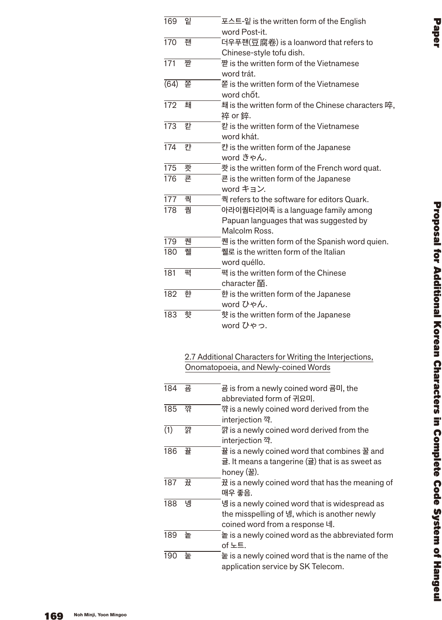| 169  | 잍 | 포스트-잍 is the written form of the English<br>word Post-it.                                      |
|------|---|------------------------------------------------------------------------------------------------|
| 170  | 좨 | 더우푸좬(豆腐卷) is a loanword that refers to<br>Chinese-style tofu dish.                             |
| 171  | 짣 | 짣 is the written form of the Vietnamese<br>word trát.                                          |
| (64) | 쫃 | 쫃 is the written form of the Vietnamese<br>word chốt.                                          |
| 172  | 쵀 | 쵀 is the written form of the Chinese characters 啐,<br>祽 or 錊.                                  |
| 173  | 칻 | 칻 is the written form of the Vietnamese<br>word khát.                                          |
| 174  | 캬 | 캰 is the written form of the Japanese<br>word きゃん.                                             |
| 175  | 쾃 | 쾃 is the written form of the French word quat.                                                 |
| 176  | 쿈 | 쿈 is the written form of the Japanese<br>word キョン.                                             |
| 177  | 쿽 | 쿽 refers to the software for editors Quark.                                                    |
| 178  | 퀌 | 아라이퀌타리어족 is a language family among<br>Papuan languages that was suggested by<br>Malcolm Ross. |
| 179  | 퀘 | 퀜 is the written form of the Spanish word quien.                                               |
| 180  | 퀰 | 퀠로 is the written form of the Italian<br>word quéllo.                                          |
| 181  | 펵 | 펵 is the written form of the Chinese<br>character 皕.                                           |
| 182  | 햔 | 한 is the written form of the Japanese<br>word ひゃん.                                             |
| 183  | 햣 | 햣 is the written form of the Japanese<br>word ひゃっ.                                             |

| 2.7 Additional Characters for Writing the Interjections, |
|----------------------------------------------------------|
| Onomatopoeia, and Newly-coined Words                     |

| 184              | 굠 | 굠 is from a newly coined word 굠미, the<br>abbreviated form of 귀요미.                             |
|------------------|---|-----------------------------------------------------------------------------------------------|
| 185              | 꺆 | 꺆 is a newly coined word derived from the                                                     |
|                  |   | interjection 꺅.                                                                               |
| $\overline{(1)}$ | 꺍 | 꺍 is a newly coined word derived from the<br>interjection 꺅.                                  |
| 186              | 뀰 | 뀰 is a newly coined word that combines 꿀 and                                                  |
|                  |   | 귤. It means a tangerine (귤) that is as sweet as<br>honey (꿀).                                 |
| 187              | 뀨 | $\#$ is a newly coined word that has the meaning of<br>매우 좋음.                                 |
| 188              | 녱 | 녱 is a newly coined word that is widespread as                                                |
|                  |   | the misspelling of 넹, which is another newly<br>coined word from a response 네.                |
| 189              | 놑 | 旨 is a newly coined word as the abbreviated form<br>of 노트.                                    |
| 190              | 눝 | $\equiv$ is a newly coined word that is the name of the<br>application service by SK Telecom. |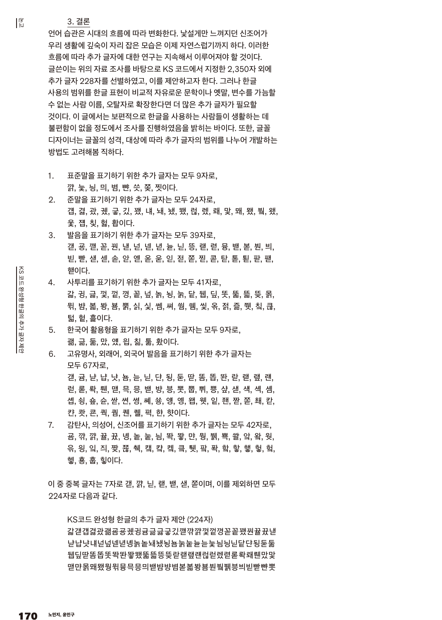#### 3. 결론

언어 습관은 시대의 흐름에 따라 변화한다. 낯설게만 느껴지던 신조어가 우리 생활에 깊숙이 자리 잡은 모습은 이제 자연스럽기까지 하다. 이러한 흐름에 따라 추가 글자에 대한 연구는 지속해서 이루어져야 할 것이다. 글쓴이는 위의 자료 조사를 바탕으로 KS 코드에서 지정한 2,350자 외에 추가 글자 228자를 선별하였고, 이를 제안하고자 한다. 그러나 한글 사용의 범위를 한글 표현이 비교적 자유로운 문학이나 옛말, 변수를 가늠할 수 없는 사람 이름, 오탈자로 확장한다면 더 많은 추가 글자가 필요할 것이다. 이 글에서는 보편적으로 한글을 사용하는 사람들이 생활하는 데 불편함이 없을 정도에서 조사를 진행하였음을 밝히는 바이다. 또한, 글꼴 디자이너는 글꼴의 성격, 대상에 따라 추가 글자의 범위를 나누어 개발하는 방법도 고려해봄 직하다.

- 1. 표준말을 표기하기 위한 추가 글자는 모두 9자로, 꺍, 늧, 닁, 믜, 볌, 뺜, 씃, 쫒, 찟이다.
- 2. 준말을 표기하기 위한 추가 글자는 모두 24자로, 걥, 겷, 괐, 궸, 긓, 깄, 꽸, 냬, 놰, 뇄, 뙜, 럲, 렜, 뢔, 맟, 뫠, 뫴, 붴, 왰, 웇, 쟵, 칮, 헗, 홥이다.
- 3. 발음을 표기하기 위한 추가 글자는 모두 39자로, 갣, 굥, 깯, 꼳, 꿘, 낻, 넏, 넫, 녇, 뉻, 닏, 뜽, 랟, 렫, 뮹, 밷, 볻, 붠, 븨, 빋, 빧, 샏, 섿, 솓, 앋, 옏, 옫, 욷, 읻, 젇, 쫃, 찓, 콛, 탇, 톧, 퇻, 팓, 팯, 핻이다.
- 4. 사투리를 표기하기 위한 추가 글자는 모두 41자로, 갋, 귕, 긇, 껓, 껕, 꼉, 꽅, 넢, 놁, 뇡, 눍, 닽, 뒙, 딮, 똣, 뚧, 뜳, 뜾, 몱, 뮊, 뱜, 볿, 봥, 뵴, 뿕, 싥, 싳, 쎔, 쎠, 쒐, 쒬, 씿, 옦, 젉, 즒, 쮓, 칰, 큲, 턻, 헡, 흝이다.
- 5. 한국어 활용형을 표기하기 위한 추가 글자는 모두 9자로, 괢, 긂, 둚, 맜, 얬, 읩, 칢, 툶, 홨이다.
- 6. 고유명사, 외래어, 외국어 발음을 표기하기 위한 추가 글자는 모두 67자로, 갣, 귬, 냗, 냡, 냣, 뇸, 늗, 닏, 댠, 됭, 둗, 딷, 똠, 똡, 똰, 랃, 랟, 랲, 럔, 럳, 롣, 롹, 뤤, 맫, 믁, 믕, 밷, 뱡, 븡, 뽓, 뿝, 쀠, 쁭, 샾, 샏, 섁, 셱, 솀,

솁, 쇵, 숖, 슌, 싿, 쎤, 쎵, 쎼, 쑝, 얭, 옝, 왭, 웻, 잍, 좬, 짣, 쫃, 쵀, 칻, 캰, 쾃, 쿈, 쿽, 퀌, 퀜, 퀠, 펵, 햔, 햣이다.

7. 감탄사, 의성어, 신조어를 표기하기 위한 추가 글자는 모두 42자로, 굠, 꺆, 꺍, 뀰, 뀼, 녱, 놑, 눝, 늼, 똭, 뙇, 먄, 뭥, 뷁, 뾱, 쏼, 앜, 왘, 웟, 윾, 읭, 잌, 즤, 짲, 쬲, 췍, 캨, 컄, 켘, 킄, 퉷, 팤, 퐉, 핰, 핳, 햏, 헣, 헠, 헿, 횽, 훕, 힣이다.

이 중 중복 글자는 7자로 갣, 꺍, 닏, 랟, 밷, 샏, 쫃이며, 이를 제외하면 모두 224자로 다음과 같다.

 KS코드 완성형 한글의 추가 글자 제안 (224자) 갋갣걥겷괐괢굠굥궸귕귬긂긇긓깄깯꺆꺍껓껕꼉꼳꽅꽸꿘뀰뀼낻 냗냡냣냬넏넢넫녇녱놁놑놰뇄뇡뇸눍눝뉻늗늧늼닁닏닽댠됭둗둚 뒙딮딷똠똡똣똭똰뙇뙜뚧뜳뜽뜾랃랟랲럔럲럳렜렫롣롹뢔뤤맜맟 맫먄몱뫠뫴뭥뮊뮹믁믕믜밷뱜뱡볌볻볿봥뵴붠붴뷁븡븨빋빧뺜뽓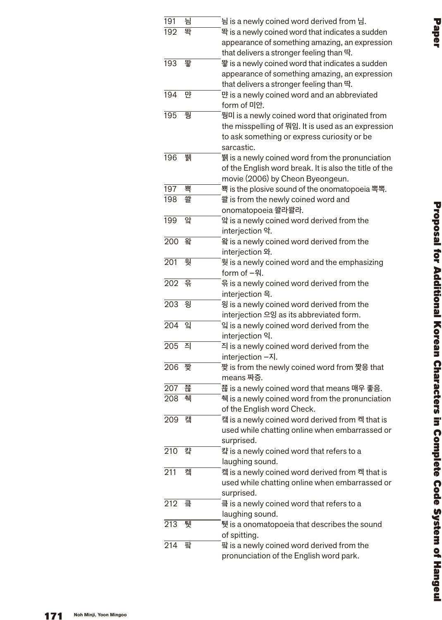| $\overline{191}$ | 늼 | 늼 is a newly coined word derived from 님.                      |
|------------------|---|---------------------------------------------------------------|
| 192              | 똭 | 똭 is a newly coined word that indicates a sudden              |
|                  |   | appearance of something amazing, an expression                |
|                  |   | that delivers a stronger feeling than 딱.                      |
| 193              | 뙇 | 뙇 is a newly coined word that indicates a sudden              |
|                  |   | appearance of something amazing, an expression                |
|                  |   | that delivers a stronger feeling than 딱.                      |
| 194              | 먄 |                                                               |
|                  |   | 먄 is a newly coined word and an abbreviated                   |
| 195              | 뭥 | form of 미안.<br>뭥미 is a newly coined word that originated from |
|                  |   | the misspelling of 뭐임. It is used as an expression            |
|                  |   |                                                               |
|                  |   | to ask something or express curiosity or be<br>sarcastic.     |
| 196              | 뷁 | 뷁 is a newly coined word from the pronunciation               |
|                  |   | of the English word break. It is also the title of the        |
|                  |   | movie (2006) by Cheon Byeongeun.                              |
| 197              | 뾱 | 뾱 is the plosive sound of the onomatopoeia 뽁뽁.                |
| 198              | 쏼 | 쏼 is from the newly coined word and                           |
|                  |   | onomatopoeia 쏼라쏼라.                                            |
| 199              | 앜 | 앜 is a newly coined word derived from the                     |
|                  |   | interjection 악.                                               |
| 200              | 왘 | 왘 is a newly coined word derived from the                     |
|                  |   | interjection 와.                                               |
| 201              | 웟 | 웟 is a newly coined word and the emphasizing                  |
|                  |   | form of -워.                                                   |
| 202              | 윾 | 윾 is a newly coined word derived from the                     |
|                  |   | interjection 윽.                                               |
| 203              | 읭 | 읭 is a newly coined word derived from the                     |
|                  |   | interjection 으잉 as its abbreviated form.                      |
| 204              | 잌 | 잌 is a newly coined word derived from the                     |
|                  |   | interjection 익.                                               |
| 205              | 즤 | 즤 is a newly coined word derived from the                     |
|                  |   | interjection -지.                                              |
| $\overline{206}$ | 짲 | 짲 is from the newly coined word from 짲응 that                  |
|                  |   | means 짜증.                                                     |
| 207              | 쬲 | 쬲 is a newly coined word that means 매우 좋음.                    |
| $\overline{208}$ | 췍 | 췍 is a newly coined word from the pronunciation               |
|                  |   | of the English word Check.                                    |
| 209              | 캨 | 캨 is a newly coined word derived from 켁 that is               |
|                  |   | used while chatting online when embarrassed or                |
|                  |   | surprised.                                                    |
| 210              | 컄 | 컄 is a newly coined word that refers to a                     |
|                  |   | laughing sound.                                               |
| 211              | 켘 | 켘 is a newly coined word derived from 켁 that is               |
|                  |   | used while chatting online when embarrassed or                |
|                  |   | surprised.                                                    |
| 212              | 클 | 킄 is a newly coined word that refers to a                     |
|                  |   | laughing sound.                                               |
| 213              | 퉷 | 퉷 is a onomatopoeia that describes the sound                  |
|                  |   | of spitting.                                                  |
| 214              | 팤 | 팤 is a newly coined word derived from the                     |
|                  |   | pronunciation of the English word park.                       |

**Paper**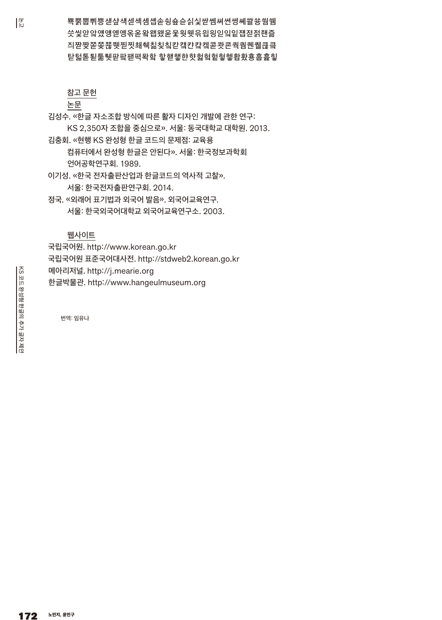뾱뿕뿝쀠쁭샏샾섁섿셱솀솁솓쇵숖슌싥싳싿쎔쎠쎤쎵쎼쏼쑝쒐쒬 씃씿앋앜얬얭옏옝옦옫왘왭왰욷웇웟웻윾읩읭읻잌잍쟵젇젉좬즒 즤짣짲쫃쫒쬲쮓찓찟쵀췍칢칮칰칻캨캰컄켘콛쾃쿈쿽퀌퀜퀠큲킄 탇턻톧퇻툶퉷팓팤팯펵퐉핰 핳핻햏햔햣헗헠헡헣헿홥홨횽훕흝힣

참고 문헌

### 논문

김성수. «한글 자소조합 방식에 따른 활자 디자인 개발에 관한 연구: KS 2,350자 조합을 중심으로». 서울: 동국대학교 대학원. 2013. 김충회. «현행 KS 완성형 한글 코드의 문제점: 교육용 컴퓨터에서 완성형 한글은 안된다». 서울: 한국정보과학회 언어공학연구회. 1989.

이기성. «한국 전자출판산업과 한글코드의 역사적 고찰». 서울: 한국전자출판연구회. 2014.

정국. «외래어 표기법과 외국어 발음». 외국어교육연구. 서울: 한국외국어대학교 외국어교육연구소. 2003.

## 웹사이트

국립국어원. http://www.korean.go.kr

국립국어원 표준국어대사전. http://stdweb2.korean.go.kr

메아리저널. http://j.mearie.org

한글박물관. http://www.hangeulmuseum.org

번역: 임유나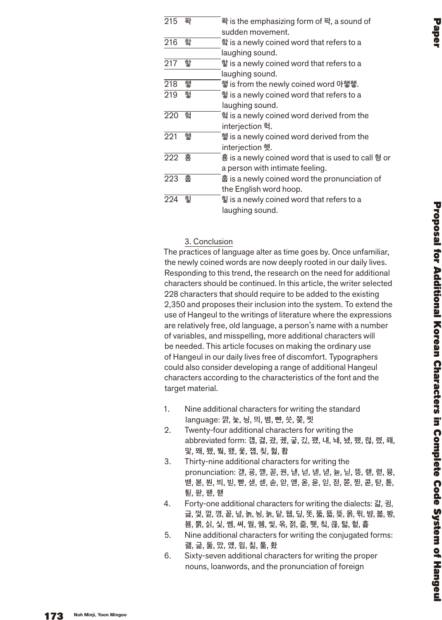| 215 | 퐠 | 퐉 is the emphasizing form of 팍, a sound of         |
|-----|---|----------------------------------------------------|
|     |   | sudden movement.                                   |
| 216 | 핰 | 핰 is a newly coined word that refers to a          |
|     |   | laughing sound.                                    |
| 217 | 핳 | 핳 is a newly coined word that refers to a          |
|     |   | laughing sound.                                    |
| 218 | 햏 | 햏 is from the newly coined word 아햏햏.               |
| 219 | 헣 | 헣 is a newly coined word that refers to a          |
|     |   | laughing sound.                                    |
| 220 | 헉 | 헠 is a newly coined word derived from the          |
|     |   | interjection 헉.                                    |
| 221 | 헿 | 헿 is a newly coined word derived from the          |
|     |   | interjection 헷.                                    |
| 222 | 횽 | 횽 is a newly coined word that is used to call 형 or |
|     |   | a person with intimate feeling.                    |
| 223 | 훔 | 훕 is a newly coined word the pronunciation of      |
|     |   | the English word hoop.                             |
| 224 | 힣 | 힣 is a newly coined word that refers to a          |
|     |   | laughing sound.                                    |

### 3 . Conclusion

The practices of language alter as time goes by . Once unfamiliar , the newly coined words are now deeply rooted in our daily lives . Responding to this trend , the research on the need for additional characters should be continued . In this article , the writer selected 228 characters that should require to be added to the existing 2,350 and proposes their inclusion into the system. To extend the use of Hangeul to the writings of literature where the expressions are relatively free , old language , a person 's name with a number of variables , and misspelling , more additional characters will be needed . This article focuses on making the ordinary use of Hangeul in our daily lives free of discomfort . Typographers could also consider developing a range of additional Hangeul characters according to the characteristics of the font and the target material .

- 1 . Nine additional characters for writing the standard language: 꺍, 늧, 닁, 믜, 볌, 뺜, 씃, 쫒, 찟
- 2 . Twenty-four additional characters for writing the abbreviated form: 걥, 겷, 괐, 궸, 긓, 깄, 꽸, 냬, 놰, 뇄, 뙜, 럲, 렜, 뢔, 맟, 뫠, 뫴, 붴, 왰, 웇, 쟵, 칮, 헗, 홥
- 3. . Thirty-nine additional characters for writing the pronunciation: 갣, 굥, 깯, 꼳, 꿘, 낻, 넏, 넫, 녇, 뉻, 닏, 뜽, 랟, 렫, 뮹, 밷, 볻, 붠, 븨, 빋, 빧, 샏, 섿, 솓, 앋, 옏, 옫, 욷, 읻, 젇, 쫀, 찓, 콛, 탇, 톧, 퇻, 팓, 팯, **핻**
- 4 . Forty-one additional characters for writing the dialects: 갋, 귕, 긇, 껓, 껕, 꼉, 꽅, 넢, 놁, 뇡, 눍, 닽, 뒙, 딮, 똣, 뚧, 뜳, 뜾, 몱, 뮊, 뱜, 볿, 봥, 뵴, 뿕, 싥, 싳, 쎔, 쎠, 쒐, 쒬, 씿, 옦, 젉, 즒, 쮓, 칰, 큲, 턻, 헡, 흝
- 5 . Nine additional characters for writing the conjugated forms : 괢, 긂, 둚, 맜, 얬, 읩, 칢, 툶, 홨
- 6 . Sixty-seven additional characters for writing the proper nouns, loanwords, and the pronunciation of foreign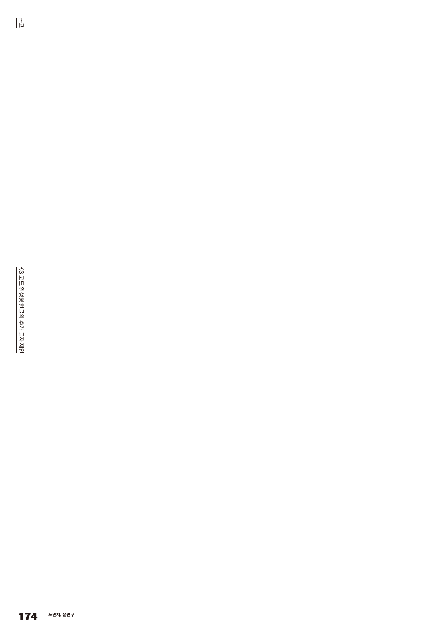174 KS 코드 오성형 한글의 추가 글자 제안<br>KS 코드 모르 KS 코드 완성형 한글의 추가 글자 제안